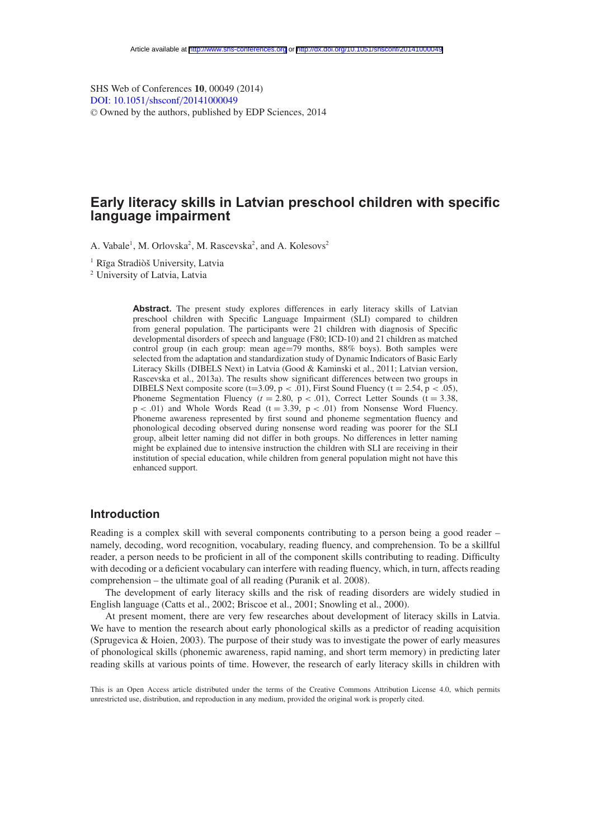SHS Web of Conferences **10**, 00049 (2014) [DOI: 10.1051](http://dx.doi.org/10.1051/shsconf/20141000049)/shsconf/20141000049 <sup>C</sup> Owned by the authors, published by EDP Sciences, 2014

# **Early literacy skills in Latvian preschool children with specific language impairment**

A. Vabale<sup>1</sup>, M. Orlovska<sup>2</sup>, M. Rascevska<sup>2</sup>, and A. Kolesovs<sup>2</sup>

<sup>1</sup> Rīga Stradiòš University, Latvia

<sup>2</sup> University of Latvia, Latvia

**Abstract.** The present study explores differences in early literacy skills of Latvian preschool children with Specific Language Impairment (SLI) compared to children from general population. The participants were 21 children with diagnosis of Specific developmental disorders of speech and language (F80; ICD-10) and 21 children as matched control group (in each group: mean age=79 months, 88% boys). Both samples were selected from the adaptation and standardization study of Dynamic Indicators of Basic Early Literacy Skills (DIBELS Next) in Latvia (Good & Kaminski et al., 2011; Latvian version, Rascevska et al., 2013a). The results show significant differences between two groups in DIBELS Next composite score  $(t=3.09, p < .01)$ , First Sound Fluency  $(t = 2.54, p < .05)$ , Phoneme Segmentation Fluency ( $t = 2.80$ ,  $p < .01$ ), Correct Letter Sounds ( $t = 3.38$ ,  $p < .01$ ) and Whole Words Read (t = 3.39,  $p < .01$ ) from Nonsense Word Fluency. Phoneme awareness represented by first sound and phoneme segmentation fluency and phonological decoding observed during nonsense word reading was poorer for the SLI group, albeit letter naming did not differ in both groups. No differences in letter naming might be explained due to intensive instruction the children with SLI are receiving in their institution of special education, while children from general population might not have this enhanced support.

### **Introduction**

Reading is a complex skill with several components contributing to a person being a good reader – namely, decoding, word recognition, vocabulary, reading fluency, and comprehension. To be a skillful reader, a person needs to be proficient in all of the component skills contributing to reading. Difficulty with decoding or a deficient vocabulary can interfere with reading fluency, which, in turn, affects reading comprehension – the ultimate goal of all reading (Puranik et al. 2008).

The development of early literacy skills and the risk of reading disorders are widely studied in English language (Catts et al., 2002; Briscoe et al., 2001; Snowling et al., 2000).

At present moment, there are very few researches about development of literacy skills in Latvia. We have to mention the research about early phonological skills as a predictor of reading acquisition (Sprugevica & Hoien, 2003). The purpose of their study was to investigate the power of early measures of phonological skills (phonemic awareness, rapid naming, and short term memory) in predicting later reading skills at various points of time. However, the research of early literacy skills in children with

This is an Open Access article distributed under the terms of the Creative Commons Attribution License 4.0, which permits unrestricted use, distribution, and reproduction in any medium, provided the original work is properly cited.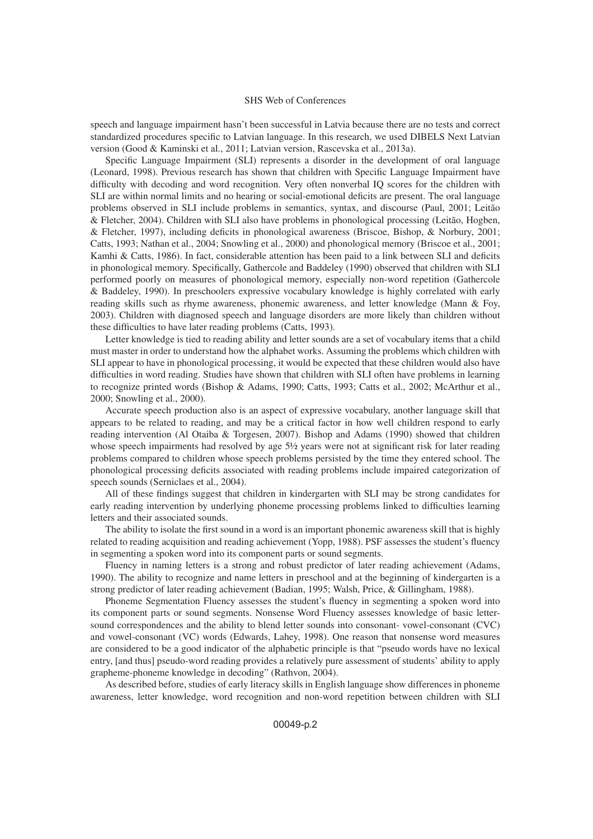### SHS Web of Conferences

speech and language impairment hasn't been successful in Latvia because there are no tests and correct standardized procedures specific to Latvian language. In this research, we used DIBELS Next Latvian version (Good & Kaminski et al., 2011; Latvian version, Rascevska et al., 2013a).

Specific Language Impairment (SLI) represents a disorder in the development of oral language (Leonard, 1998). Previous research has shown that children with Specific Language Impairment have difficulty with decoding and word recognition. Very often nonverbal IQ scores for the children with SLI are within normal limits and no hearing or social-emotional deficits are present. The oral language problems observed in SLI include problems in semantics, syntax, and discourse (Paul, 2001; Leitão & Fletcher, 2004). Children with SLI also have problems in phonological processing (Leitão, Hogben, & Fletcher, 1997), including deficits in phonological awareness (Briscoe, Bishop, & Norbury, 2001; Catts, 1993; Nathan et al., 2004; Snowling et al., 2000) and phonological memory (Briscoe et al., 2001; Kamhi & Catts, 1986). In fact, considerable attention has been paid to a link between SLI and deficits in phonological memory. Specifically, Gathercole and Baddeley (1990) observed that children with SLI performed poorly on measures of phonological memory, especially non-word repetition (Gathercole & Baddeley, 1990). In preschoolers expressive vocabulary knowledge is highly correlated with early reading skills such as rhyme awareness, phonemic awareness, and letter knowledge (Mann & Foy, 2003). Children with diagnosed speech and language disorders are more likely than children without these difficulties to have later reading problems (Catts, 1993).

Letter knowledge is tied to reading ability and letter sounds are a set of vocabulary items that a child must master in order to understand how the alphabet works. Assuming the problems which children with SLI appear to have in phonological processing, it would be expected that these children would also have difficulties in word reading. Studies have shown that children with SLI often have problems in learning to recognize printed words (Bishop & Adams, 1990; Catts, 1993; Catts et al., 2002; McArthur et al., 2000; Snowling et al., 2000).

Accurate speech production also is an aspect of expressive vocabulary, another language skill that appears to be related to reading, and may be a critical factor in how well children respond to early reading intervention (Al Otaiba & Torgesen, 2007). Bishop and Adams (1990) showed that children whose speech impairments had resolved by age 5½ years were not at significant risk for later reading problems compared to children whose speech problems persisted by the time they entered school. The phonological processing deficits associated with reading problems include impaired categorization of speech sounds (Serniclaes et al., 2004).

All of these findings suggest that children in kindergarten with SLI may be strong candidates for early reading intervention by underlying phoneme processing problems linked to difficulties learning letters and their associated sounds.

The ability to isolate the first sound in a word is an important phonemic awareness skill that is highly related to reading acquisition and reading achievement (Yopp, 1988). PSF assesses the student's fluency in segmenting a spoken word into its component parts or sound segments.

Fluency in naming letters is a strong and robust predictor of later reading achievement (Adams, 1990). The ability to recognize and name letters in preschool and at the beginning of kindergarten is a strong predictor of later reading achievement (Badian, 1995; Walsh, Price, & Gillingham, 1988).

Phoneme Segmentation Fluency assesses the student's fluency in segmenting a spoken word into its component parts or sound segments. Nonsense Word Fluency assesses knowledge of basic lettersound correspondences and the ability to blend letter sounds into consonant- vowel-consonant (CVC) and vowel-consonant (VC) words (Edwards, Lahey, 1998). One reason that nonsense word measures are considered to be a good indicator of the alphabetic principle is that "pseudo words have no lexical entry, [and thus] pseudo-word reading provides a relatively pure assessment of students' ability to apply grapheme-phoneme knowledge in decoding" (Rathvon, 2004).

As described before, studies of early literacy skills in English language show differences in phoneme awareness, letter knowledge, word recognition and non-word repetition between children with SLI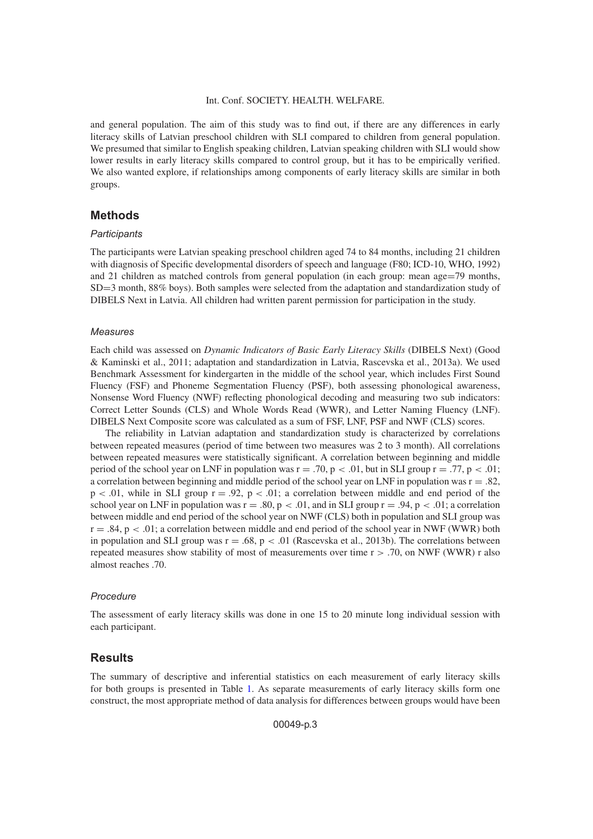### Int. Conf. SOCIETY. HEALTH. WELFARE.

and general population. The aim of this study was to find out, if there are any differences in early literacy skills of Latvian preschool children with SLI compared to children from general population. We presumed that similar to English speaking children, Latvian speaking children with SLI would show lower results in early literacy skills compared to control group, but it has to be empirically verified. We also wanted explore, if relationships among components of early literacy skills are similar in both groups.

# **Methods**

#### *Participants*

The participants were Latvian speaking preschool children aged 74 to 84 months, including 21 children with diagnosis of Specific developmental disorders of speech and language (F80; ICD-10, WHO, 1992) and 21 children as matched controls from general population (in each group: mean age=79 months, SD=3 month, 88% boys). Both samples were selected from the adaptation and standardization study of DIBELS Next in Latvia. All children had written parent permission for participation in the study.

#### *Measures*

Each child was assessed on *Dynamic Indicators of Basic Early Literacy Skills* (DIBELS Next) (Good & Kaminski et al., 2011; adaptation and standardization in Latvia, Rascevska et al., 2013a). We used Benchmark Assessment for kindergarten in the middle of the school year, which includes First Sound Fluency (FSF) and Phoneme Segmentation Fluency (PSF), both assessing phonological awareness, Nonsense Word Fluency (NWF) reflecting phonological decoding and measuring two sub indicators: Correct Letter Sounds (CLS) and Whole Words Read (WWR), and Letter Naming Fluency (LNF). DIBELS Next Composite score was calculated as a sum of FSF, LNF, PSF and NWF (CLS) scores.

The reliability in Latvian adaptation and standardization study is characterized by correlations between repeated measures (period of time between two measures was 2 to 3 month). All correlations between repeated measures were statistically significant. A correlation between beginning and middle period of the school year on LNF in population was  $r = .70$ ,  $p < .01$ , but in SLI group  $r = .77$ ,  $p < .01$ ; a correlation between beginning and middle period of the school year on LNF in population was  $r = .82$ ,  $p < .01$ , while in SLI group  $r = .92$ ,  $p < .01$ ; a correlation between middle and end period of the school year on LNF in population was  $r = .80$ ,  $p < .01$ , and in SLI group  $r = .94$ ,  $p < .01$ ; a correlation between middle and end period of the school year on NWF (CLS) both in population and SLI group was  $r = .84$ ,  $p < .01$ ; a correlation between middle and end period of the school year in NWF (WWR) both in population and SLI group was  $r = .68$ ,  $p < .01$  (Rascevska et al., 2013b). The correlations between repeated measures show stability of most of measurements over time  $r > .70$ , on NWF (WWR) r also almost reaches .70.

### *Procedure*

The assessment of early literacy skills was done in one 15 to 20 minute long individual session with each participant.

## **Results**

The summary of descriptive and inferential statistics on each measurement of early literacy skills for both groups is presented in Table [1.](#page-3-0) As separate measurements of early literacy skills form one construct, the most appropriate method of data analysis for differences between groups would have been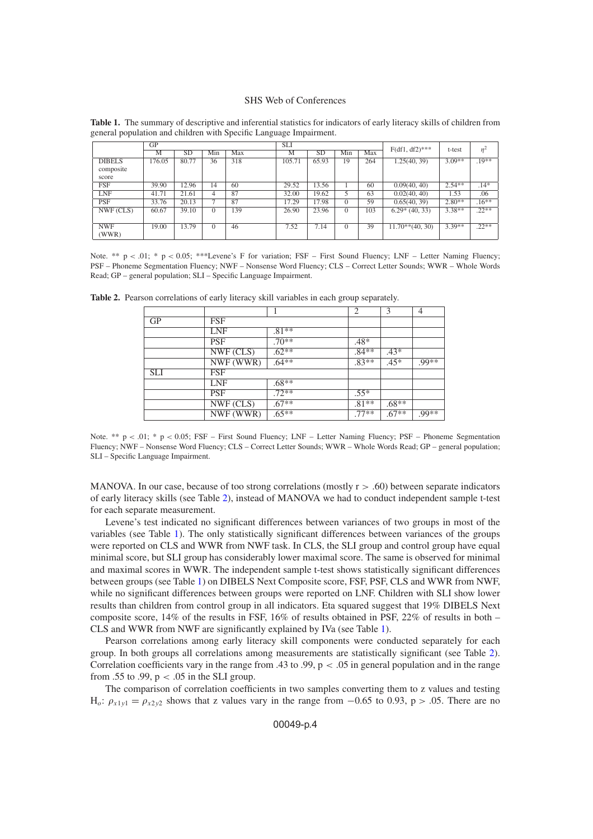#### SHS Web of Conferences

|               | GP     |           |          |     | <b>SLI</b> |           |          |     | $F(df1, df2)$ ***  |          |          |
|---------------|--------|-----------|----------|-----|------------|-----------|----------|-----|--------------------|----------|----------|
|               | M      | <b>SD</b> | Min      | Max | M          | <b>SD</b> | Min      | Max |                    | t-test   | $\eta^2$ |
| <b>DIBELS</b> | 176.05 | 80.77     | 36       | 318 | 105.71     | 65.93     | 19       | 264 | 1.25(40, 39)       | $3.09**$ | $.19**$  |
| composite     |        |           |          |     |            |           |          |     |                    |          |          |
| score         |        |           |          |     |            |           |          |     |                    |          |          |
| <b>FSF</b>    | 39.90  | 12.96     | 14       | 60  | 29.52      | 13.56     |          | 60  | 0.09(40, 40)       | $2.54**$ | $.14*$   |
| <b>LNF</b>    | 41.71  | 21.61     | 4        | 87  | 32.00      | 19.62     |          | 63  | 0.02(40, 40)       | 1.53     | .06      |
| <b>PSF</b>    | 33.76  | 20.13     | ⇁        | 87  | 17.29      | 17.98     | $\Omega$ | 59  | 0.65(40, 39)       | $2.80**$ | $.16***$ |
| NWF (CLS)     | 60.67  | 39.10     | $\Omega$ | 139 | 26.90      | 23.96     | 0        | 103 | $6.29*(40, 33)$    | $3.38**$ | $.22**$  |
|               |        |           |          |     |            |           |          |     |                    |          |          |
| <b>NWF</b>    | 19.00  | 13.79     | $\Omega$ | 46  | 7.52       | 7.14      |          | 39  | $11.70**$ (40, 30) | $3.39**$ | $.22**$  |
| (WWR)         |        |           |          |     |            |           |          |     |                    |          |          |

<span id="page-3-0"></span>**Table 1.** The summary of descriptive and inferential statistics for indicators of early literacy skills of children from general population and children with Specific Language Impairment.

Note. \*\* p < .01; \* p < 0.05; \*\*\*Levene's F for variation; FSF – First Sound Fluency; LNF – Letter Naming Fluency; PSF – Phoneme Segmentation Fluency; NWF – Nonsense Word Fluency; CLS – Correct Letter Sounds; WWR – Whole Words Read; GP – general population; SLI – Specific Language Impairment.

|            |            |         | $\overline{c}$ | 3       | $\overline{4}$ |
|------------|------------|---------|----------------|---------|----------------|
| GP         | FSF        |         |                |         |                |
|            | <b>LNF</b> | $.81**$ |                |         |                |
|            | <b>PSF</b> | $.70**$ | .48*           |         |                |
|            | NWF (CLS)  | $.62**$ | $.84**$        | $.43*$  |                |
|            | NWF (WWR)  | $.64**$ | $.83**$        | $.45*$  | .99**          |
| <b>SLI</b> | <b>FSF</b> |         |                |         |                |
|            | <b>LNF</b> | $.68**$ |                |         |                |
|            | <b>PSF</b> | $.72**$ | $.55*$         |         |                |
|            | NWF(CLS)   | $.67**$ | $.81**$        | $.68**$ |                |
|            | NWF (WWR)  | $.65**$ | $.77**$        | $.67**$ | .99**          |

<span id="page-3-1"></span>**Table 2.** Pearson correlations of early literacy skill variables in each group separately.

Note. \*\* p < .01; \* p < 0.05; FSF – First Sound Fluency; LNF – Letter Naming Fluency; PSF – Phoneme Segmentation Fluency; NWF – Nonsense Word Fluency; CLS – Correct Letter Sounds; WWR – Whole Words Read; GP – general population; SLI – Specific Language Impairment.

MANOVA. In our case, because of too strong correlations (mostly  $r > .60$ ) between separate indicators of early literacy skills (see Table [2\)](#page-3-1), instead of MANOVA we had to conduct independent sample t-test for each separate measurement.

Levene's test indicated no significant differences between variances of two groups in most of the variables (see Table [1\)](#page-3-0). The only statistically significant differences between variances of the groups were reported on CLS and WWR from NWF task. In CLS, the SLI group and control group have equal minimal score, but SLI group has considerably lower maximal score. The same is observed for minimal and maximal scores in WWR. The independent sample t-test shows statistically significant differences between groups (see Table [1\)](#page-3-0) on DIBELS Next Composite score, FSF, PSF, CLS and WWR from NWF, while no significant differences between groups were reported on LNF. Children with SLI show lower results than children from control group in all indicators. Eta squared suggest that 19% DIBELS Next composite score, 14% of the results in FSF, 16% of results obtained in PSF, 22% of results in both – CLS and WWR from NWF are significantly explained by IVa (see Table [1\)](#page-3-0).

Pearson correlations among early literacy skill components were conducted separately for each group. In both groups all correlations among measurements are statistically significant (see Table [2\)](#page-3-1). Correlation coefficients vary in the range from .43 to .99,  $p < .05$  in general population and in the range from .55 to .99,  $p < .05$  in the SLI group.

The comparison of correlation coefficients in two samples converting them to z values and testing  $H_o: \rho_{x1y1} = \rho_{x2y2}$  shows that z values vary in the range from  $-0.65$  to 0.93, p > .05. There are no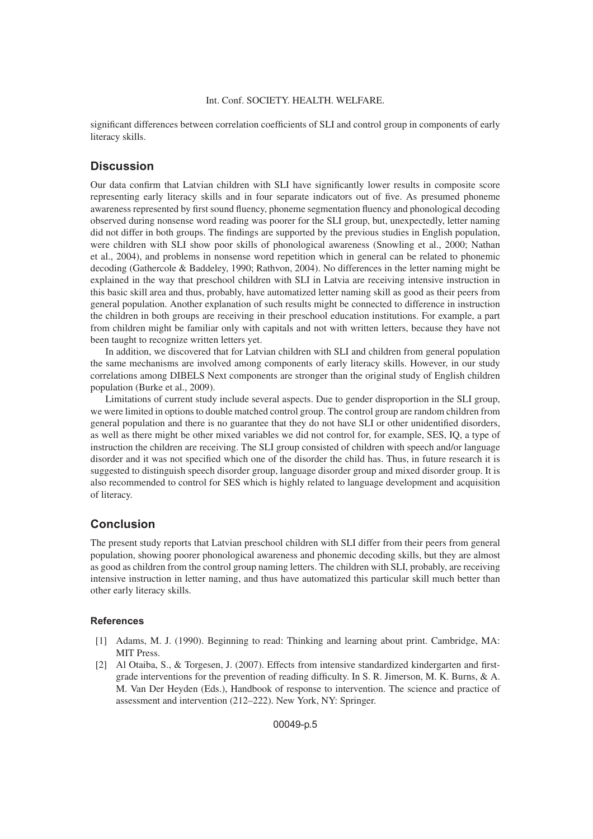### Int. Conf. SOCIETY. HEALTH. WELFARE.

significant differences between correlation coefficients of SLI and control group in components of early literacy skills.

# **Discussion**

Our data confirm that Latvian children with SLI have significantly lower results in composite score representing early literacy skills and in four separate indicators out of five. As presumed phoneme awareness represented by first sound fluency, phoneme segmentation fluency and phonological decoding observed during nonsense word reading was poorer for the SLI group, but, unexpectedly, letter naming did not differ in both groups. The findings are supported by the previous studies in English population, were children with SLI show poor skills of phonological awareness (Snowling et al., 2000; Nathan et al., 2004), and problems in nonsense word repetition which in general can be related to phonemic decoding (Gathercole & Baddeley, 1990; Rathvon, 2004). No differences in the letter naming might be explained in the way that preschool children with SLI in Latvia are receiving intensive instruction in this basic skill area and thus, probably, have automatized letter naming skill as good as their peers from general population. Another explanation of such results might be connected to difference in instruction the children in both groups are receiving in their preschool education institutions. For example, a part from children might be familiar only with capitals and not with written letters, because they have not been taught to recognize written letters yet.

In addition, we discovered that for Latvian children with SLI and children from general population the same mechanisms are involved among components of early literacy skills. However, in our study correlations among DIBELS Next components are stronger than the original study of English children population (Burke et al., 2009).

Limitations of current study include several aspects. Due to gender disproportion in the SLI group, we were limited in options to double matched control group. The control group are random children from general population and there is no guarantee that they do not have SLI or other unidentified disorders, as well as there might be other mixed variables we did not control for, for example, SES, IQ, a type of instruction the children are receiving. The SLI group consisted of children with speech and/or language disorder and it was not specified which one of the disorder the child has. Thus, in future research it is suggested to distinguish speech disorder group, language disorder group and mixed disorder group. It is also recommended to control for SES which is highly related to language development and acquisition of literacy.

# **Conclusion**

The present study reports that Latvian preschool children with SLI differ from their peers from general population, showing poorer phonological awareness and phonemic decoding skills, but they are almost as good as children from the control group naming letters. The children with SLI, probably, are receiving intensive instruction in letter naming, and thus have automatized this particular skill much better than other early literacy skills.

### **References**

- [1] Adams, M. J. (1990). Beginning to read: Thinking and learning about print. Cambridge, MA: MIT Press.
- [2] Al Otaiba, S., & Torgesen, J. (2007). Effects from intensive standardized kindergarten and firstgrade interventions for the prevention of reading difficulty. In S. R. Jimerson, M. K. Burns, & A. M. Van Der Heyden (Eds.), Handbook of response to intervention. The science and practice of assessment and intervention (212–222). New York, NY: Springer.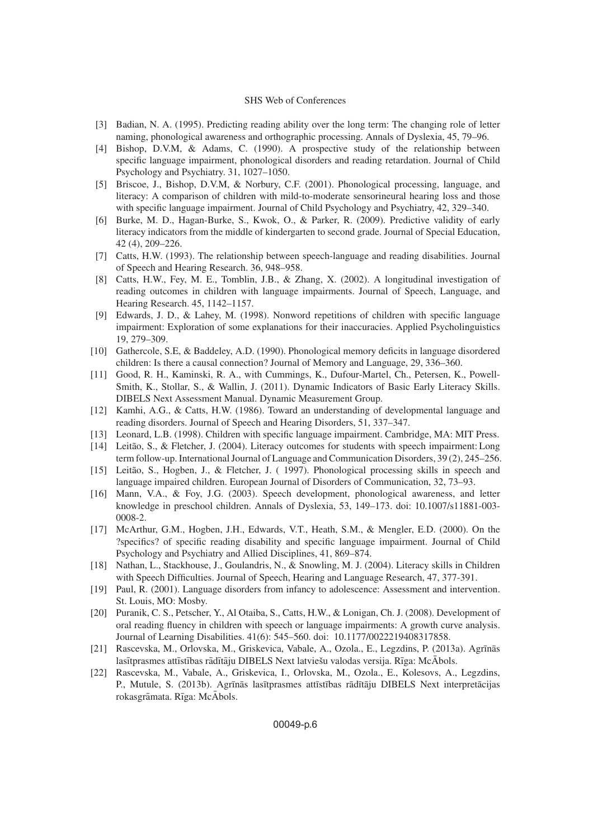### SHS Web of Conferences

- [3] Badian, N. A. (1995). Predicting reading ability over the long term: The changing role of letter naming, phonological awareness and orthographic processing. Annals of Dyslexia, 45, 79–96.
- [4] Bishop, D.V.M, & Adams, C. (1990). A prospective study of the relationship between specific language impairment, phonological disorders and reading retardation. Journal of Child Psychology and Psychiatry. 31, 1027–1050.
- [5] Briscoe, J., Bishop, D.V.M, & Norbury, C.F. (2001). Phonological processing, language, and literacy: A comparison of children with mild-to-moderate sensorineural hearing loss and those with specific language impairment. Journal of Child Psychology and Psychiatry, 42, 329–340.
- [6] Burke, M. D., Hagan-Burke, S., Kwok, O., & Parker, R. (2009). Predictive validity of early literacy indicators from the middle of kindergarten to second grade. Journal of Special Education, 42 (4), 209–226.
- [7] Catts, H.W. (1993). The relationship between speech-language and reading disabilities. Journal of Speech and Hearing Research. 36, 948–958.
- [8] Catts, H.W., Fey, M. E., Tomblin, J.B., & Zhang, X. (2002). A longitudinal investigation of reading outcomes in children with language impairments. Journal of Speech, Language, and Hearing Research. 45, 1142–1157.
- [9] Edwards, J. D., & Lahey, M. (1998). Nonword repetitions of children with specific language impairment: Exploration of some explanations for their inaccuracies. Applied Psycholinguistics 19, 279–309.
- [10] Gathercole, S.E, & Baddeley, A.D. (1990). Phonological memory deficits in language disordered children: Is there a causal connection? Journal of Memory and Language, 29, 336–360.
- [11] Good, R. H., Kaminski, R. A., with Cummings, K., Dufour-Martel, Ch., Petersen, K., Powell-Smith, K., Stollar, S., & Wallin, J. (2011). Dynamic Indicators of Basic Early Literacy Skills. DIBELS Next Assessment Manual. Dynamic Measurement Group.
- [12] Kamhi, A.G., & Catts, H.W. (1986). Toward an understanding of developmental language and reading disorders. Journal of Speech and Hearing Disorders, 51, 337–347.
- [13] Leonard, L.B. (1998). Children with specific language impairment. Cambridge, MA: MIT Press.
- [14] Leitão, S., & Fletcher, J. (2004). Literacy outcomes for students with speech impairment: Long term follow-up. International Journal of Language and Communication Disorders, 39 (2), 245–256.
- [15] Leitão, S., Hogben, J., & Fletcher, J. ( 1997). Phonological processing skills in speech and language impaired children. European Journal of Disorders of Communication, 32, 73–93.
- [16] Mann, V.A., & Foy, J.G. (2003). Speech development, phonological awareness, and letter knowledge in preschool children. Annals of Dyslexia, 53, 149–173. doi: 10.1007/s11881-003- 0008-2.
- [17] McArthur, G.M., Hogben, J.H., Edwards, V.T., Heath, S.M., & Mengler, E.D. (2000). On the ?specifics? of specific reading disability and specific language impairment. Journal of Child Psychology and Psychiatry and Allied Disciplines, 41, 869–874.
- [18] Nathan, L., Stackhouse, J., Goulandris, N., & Snowling, M. J. (2004). Literacy skills in Children with Speech Difficulties. Journal of Speech, Hearing and Language Research, 47, 377-391.
- [19] Paul, R. (2001). Language disorders from infancy to adolescence: Assessment and intervention. St. Louis, MO: Mosby.
- [20] Puranik, C. S., Petscher, Y., Al Otaiba, S., Catts, H.W., & Lonigan, Ch. J. (2008). Development of oral reading fluency in children with speech or language impairments: A growth curve analysis. Journal of Learning Disabilities. 41(6): 545–560. doi: 10.1177/0022219408317858.
- [21] Rascevska, M., Orlovska, M., Griskevica, Vabale, A., Ozola., E., Legzdins, P. (2013a). Agrīnās lasītprasmes attīstības rādītāju DIBELS Next latviešu valodas versija. Rīga: McĀbols.
- [22] Rascevska, M., Vabale, A., Griskevica, I., Orlovska, M., Ozola., E., Kolesovs, A., Legzdins, P., Mutule, S. (2013b). Agrīnās lasītprasmes attīstības rādītāju DIBELS Next interpretācijas rokasgrāmata. Rīga: McĀbols.